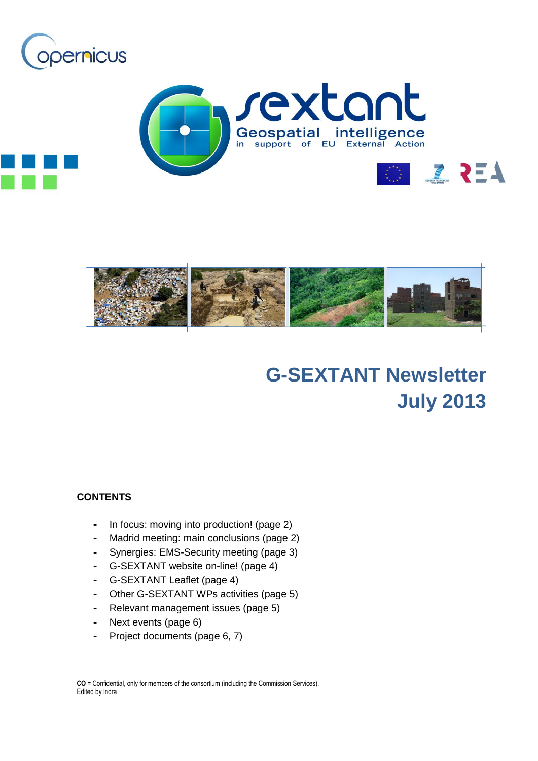





# **G-SEXTANT Newsletter July 2013**

### **CONTENTS**

- **-** In focus: moving into production! (page 2)
- **-** Madrid meeting: main conclusions (page 2)
- **-** Synergies: EMS-Security meeting (page 3)
- **-** G-SEXTANT website on-line! (page 4)
- **-** G-SEXTANT Leaflet (page 4)
- **-** Other G-SEXTANT WPs activities (page 5)
- **-** Relevant management issues (page 5)
- **-** Next events (page 6)
- **-** Project documents (page 6, 7)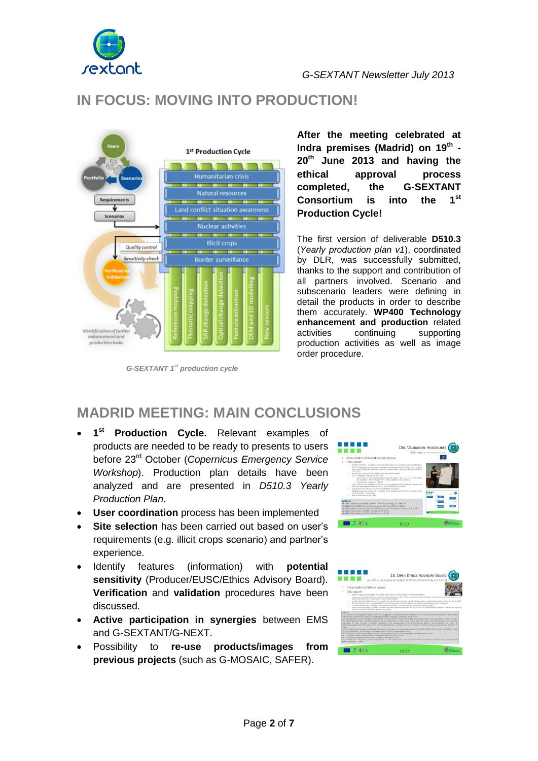

# **IN FOCUS: MOVING INTO PRODUCTION!**



*G-SEXTANT 1st production cycle*

**After the meeting celebrated at Indra premises (Madrid) on 19th - 20th June 2013 and having the ethical approval process completed, the G-SEXTANT Consortium is into the 1st Production Cycle!**

The first version of deliverable **D510.3** (*Yearly production plan v1*), coordinated by DLR, was successfully submitted, thanks to the support and contribution of all partners involved. Scenario and subscenario leaders were defining in detail the products in order to describe them accurately. **WP400 Technology enhancement and production** related activities continuing supporting production activities as well as image order procedure.

# **MADRID MEETING: MAIN CONCLUSIONS**

- **1 st Production Cycle.** Relevant examples of products are needed to be ready to presents to users before 23rd October (*Copernicus Emergency Service Workshop*). Production plan details have been analyzed and are presented in *D510.3 Yearly Production Plan*.
- **User coordination** process has been implemented
- **Site selection** has been carried out based on user's requirements (e.g. illicit crops scenario) and partner's experience.
- Identify features (information) with **potential sensitivity** (Producer/EUSC/Ethics Advisory Board). **Verification** and **validation** procedures have been discussed.
- **Active participation in synergies** between EMS and G-SEXTANT/G-NEXT.
- Possibility to **re-use products/images from previous projects** (such as G-MOSAIC, SAFER).



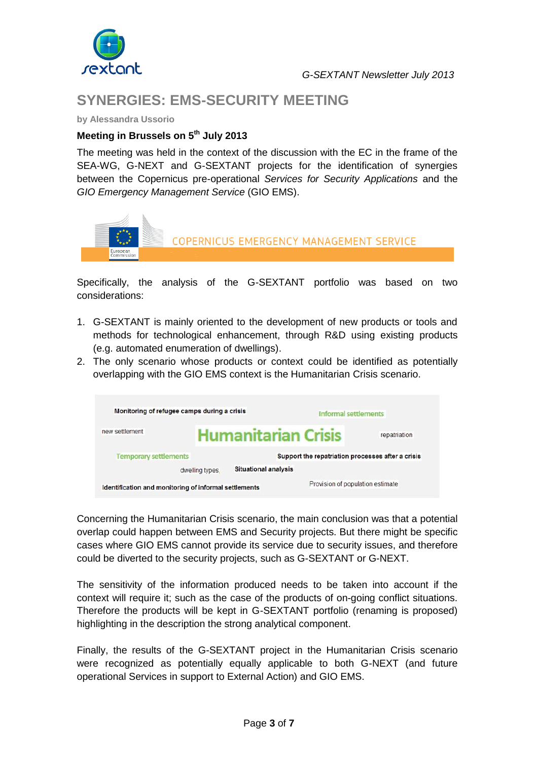

# **SYNERGIES: EMS-SECURITY MEETING**

**by Alessandra Ussorio** 

### **Meeting in Brussels on 5th July 2013**

The meeting was held in the context of the discussion with the EC in the frame of the SEA-WG, G-NEXT and G-SEXTANT projects for the identification of synergies between the Copernicus pre-operational *Services for Security Applications* and the *GIO Emergency Management Service* (GIO EMS).



Specifically, the analysis of the G-SEXTANT portfolio was based on two considerations:

- 1. G-SEXTANT is mainly oriented to the development of new products or tools and methods for technological enhancement, through R&D using existing products (e.g. automated enumeration of dwellings).
- 2. The only scenario whose products or context could be identified as potentially overlapping with the GIO EMS context is the Humanitarian Crisis scenario.



Concerning the Humanitarian Crisis scenario, the main conclusion was that a potential overlap could happen between EMS and Security projects. But there might be specific cases where GIO EMS cannot provide its service due to security issues, and therefore could be diverted to the security projects, such as G-SEXTANT or G-NEXT.

The sensitivity of the information produced needs to be taken into account if the context will require it; such as the case of the products of on-going conflict situations. Therefore the products will be kept in G-SEXTANT portfolio (renaming is proposed) highlighting in the description the strong analytical component.

Finally, the results of the G-SEXTANT project in the Humanitarian Crisis scenario were recognized as potentially equally applicable to both G-NEXT (and future operational Services in support to External Action) and GIO EMS.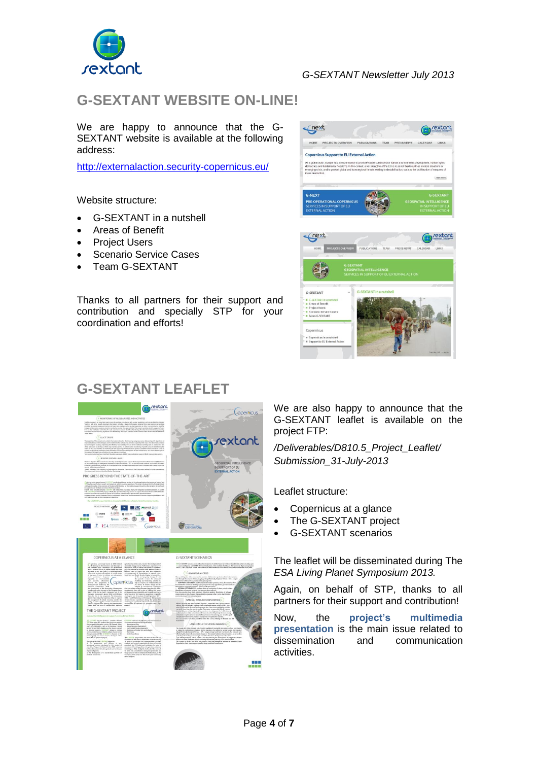

### *G-SEXTANT Newsletter July 2013*

# **G-SEXTANT WEBSITE ON-LINE!**

We are happy to announce that the G-SEXTANT website is available at the following address:

<http://externalaction.security-copernicus.eu/>

Website structure:

- G-SEXTANT in a nutshell
- Areas of Benefit
- Project Users
- Scenario Service Cases
- Team G-SEXTANT

Thanks to all partners for their support and contribution and specially STP for your coordination and efforts!



# **G-SEXTANT LEAFLET**



We are also happy to announce that the G-SEXTANT leaflet is available on the project FTP:

*/Deliverables/D810.5\_Project\_Leaflet/ Submission\_31-July-2013*

Leaflet structure:

- Copernicus at a glance
- The G-SEXTANT project
- G-SEXTANT scenarios

The leaflet will be disseminated during The *ESA Living Planet Symposium 2013.*

Again, on behalf of STP, thanks to all partners for their support and contribution!

Now, the **project's multimedia presentation** is the main issue related to dissemination and communication activities.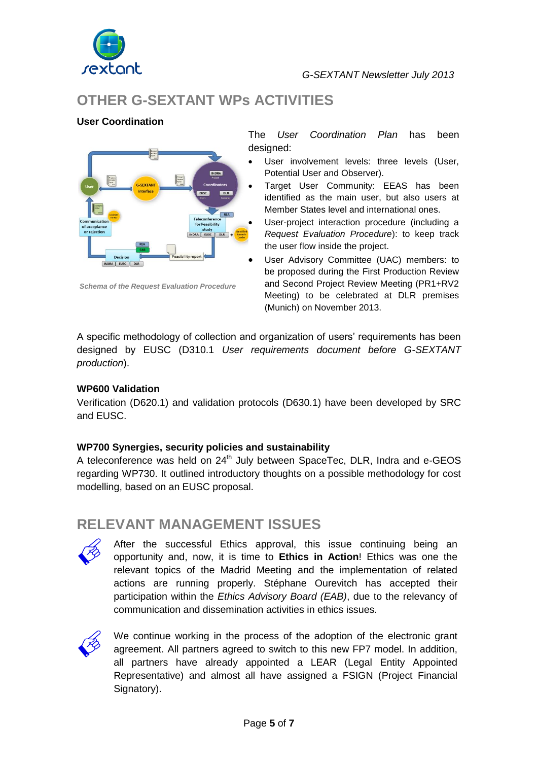

# **OTHER G-SEXTANT WPs ACTIVITIES**

### **User Coordination**



*Schema of the Request Evaluation Procedure*

The *User Coordination Plan* has been designed:

- User involvement levels: three levels (User, Potential User and Observer).
- Target User Community: EEAS has been identified as the main user, but also users at Member States level and international ones.
- User-project interaction procedure (including a *Request Evaluation Procedure*): to keep track the user flow inside the project.
- User Advisory Committee (UAC) members: to be proposed during the First Production Review and Second Project Review Meeting (PR1+RV2 Meeting) to be celebrated at DLR premises (Munich) on November 2013.

A specific methodology of collection and organization of users' requirements has been designed by EUSC (D310.1 *User requirements document before G-SEXTANT production*).

### **WP600 Validation**

Verification (D620.1) and validation protocols (D630.1) have been developed by SRC and EUSC.

### **WP700 Synergies, security policies and sustainability**

A teleconference was held on 24<sup>th</sup> July between SpaceTec, DLR, Indra and e-GEOS regarding WP730. It outlined introductory thoughts on a possible methodology for cost modelling, based on an EUSC proposal.

### **RELEVANT MANAGEMENT ISSUES**



After the successful Ethics approval, this issue continuing being an opportunity and, now, it is time to **Ethics in Action**! Ethics was one the relevant topics of the Madrid Meeting and the implementation of related actions are running properly. Stéphane Ourevitch has accepted their participation within the *Ethics Advisory Board (EAB)*, due to the relevancy of communication and dissemination activities in ethics issues.



We continue working in the process of the adoption of the electronic grant agreement. All partners agreed to switch to this new FP7 model. In addition, all partners have already appointed a LEAR (Legal Entity Appointed Representative) and almost all have assigned a FSIGN (Project Financial Signatory).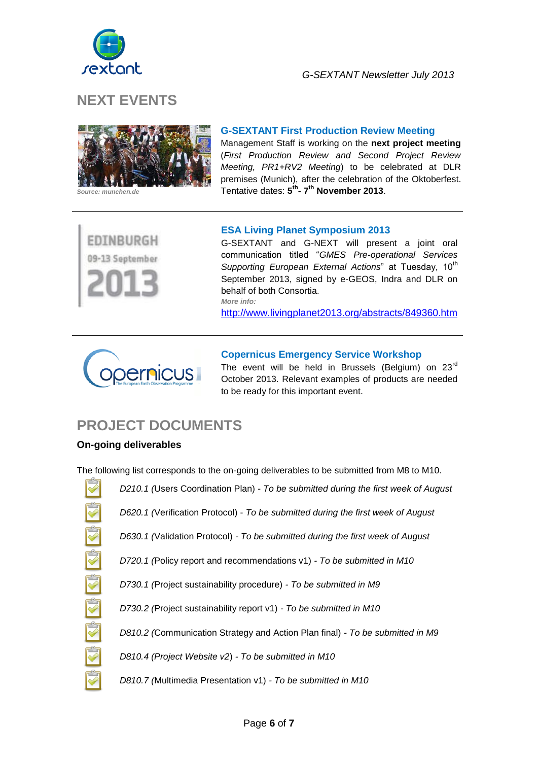

# **NEXT EVENTS**



#### **G-SEXTANT First Production Review Meeting**

Management Staff is working on the **next project meeting** (*First Production Review and Second Project Review Meeting, PR1+RV2 Meeting*) to be celebrated at DLR premises (Munich), after the celebration of the Oktoberfest. Tentative dates: **5 th - 7 th November 2013**.

EDINBURGH 09-13 September

### **ESA Living Planet Symposium 2013**

G-SEXTANT and G-NEXT will present a joint oral communication titled "*GMES Pre-operational Services Supporting European External Actions*" at Tuesday, 10<sup>th</sup> September 2013, signed by e-GEOS, Indra and DLR on behalf of both Consortia. *More info:*

<http://www.livingplanet2013.org/abstracts/849360.htm>



#### **Copernicus Emergency Service Workshop**

The event will be held in Brussels (Belgium) on  $23<sup>rd</sup>$ October 2013. Relevant examples of products are needed to be ready for this important event.

## **PROJECT DOCUMENTS**

### **On-going deliverables**

The following list corresponds to the on-going deliverables to be submitted from M8 to M10.

SP SP SP SP SP SP SP

*D620.1 (*Verification Protocol) - *To be submitted during the first week of August D630.1 (*Validation Protocol) *- To be submitted during the first week of August*

*D210.1 (*Users Coordination Plan) - *To be submitted during the first week of August* 

- *D720.1 (*Policy report and recommendations v1) *- To be submitted in M10*
- *D730.1 (*Project sustainability procedure) *- To be submitted in M9*
- *D730.2 (*Project sustainability report v1) *- To be submitted in M10*
- *D810.2 (*Communication Strategy and Action Plan final) *- To be submitted in M9*
- *D810.4 (Project Website v2*) *- To be submitted in M10*
- *D810.7 (*Multimedia Presentation v1) *- To be submitted in M10*